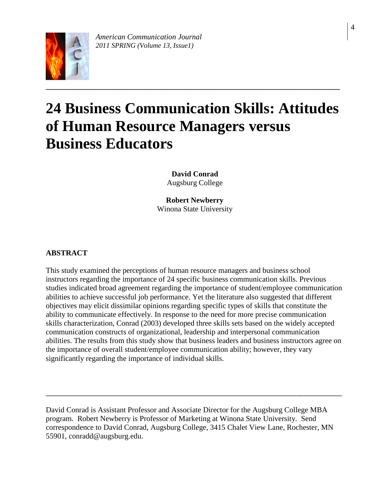

# **24 Business Communication Skills: Attitudes of Human Resource Managers versus Business Educators**

**David Conrad** Augsburg College

**Robert Newberry** Winona State University

# **ABSTRACT**

This study examined the perceptions of human resource managers and business school instructors regarding the importance of 24 specific business communication skills. Previous studies indicated broad agreement regarding the importance of student/employee communication abilities to achieve successful job performance. Yet the literature also suggested that different objectives may elicit dissimilar opinions regarding specific types of skills that constitute the ability to communicate effectively. In response to the need for more precise communication skills characterization, Conrad (2003) developed three skills sets based on the widely accepted communication constructs of organizational, leadership and interpersonal communication abilities. The results from this study show that business leaders and business instructors agree on the importance of overall student/employee communication ability; however, they vary significantly regarding the importance of individual skills.

David Conrad is Assistant Professor and Associate Director for the Augsburg College MBA program. Robert Newberry is Professor of Marketing at Winona State University. Send correspondence to David Conrad, Augsburg College, 3415 Chalet View Lane, Rochester, MN 55901, conradd@augsburg.edu.

\_\_\_\_\_\_\_\_\_\_\_\_\_\_\_\_\_\_\_\_\_\_\_\_\_\_\_\_\_\_\_\_\_\_\_\_\_\_\_\_\_\_\_\_\_\_\_\_\_\_\_\_\_\_\_\_\_\_\_\_\_\_\_\_\_\_\_\_\_\_\_\_\_\_\_\_\_\_\_\_\_\_\_\_\_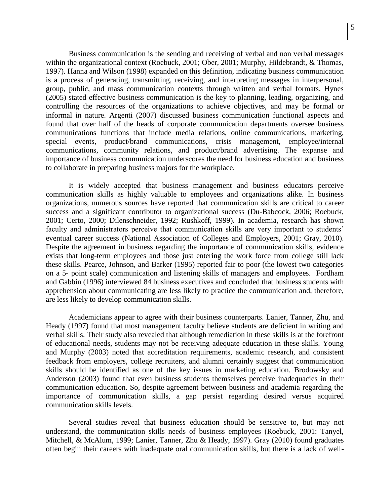Business communication is the sending and receiving of verbal and non verbal messages within the organizational context (Roebuck, 2001; Ober, 2001; Murphy, Hildebrandt, & Thomas, 1997). Hanna and Wilson (1998) expanded on this definition, indicating business communication is a process of generating, transmitting, receiving, and interpreting messages in interpersonal, group, public, and mass communication contexts through written and verbal formats. Hynes (2005) stated effective business communication is the key to planning, leading, organizing, and controlling the resources of the organizations to achieve objectives, and may be formal or informal in nature. Argenti (2007) discussed business communication functional aspects and found that over half of the heads of corporate communication departments oversee business communications functions that include media relations, online communications, marketing, special events, product/brand communications, crisis management, employee/internal communications, community relations, and product/brand advertising. The expanse and importance of business communication underscores the need for business education and business to collaborate in preparing business majors for the workplace.

It is widely accepted that business management and business educators perceive communication skills as highly valuable to employees and organizations alike. In business organizations, numerous sources have reported that communication skills are critical to career success and a significant contributor to organizational success (Du-Babcock, 2006; Roebuck, 2001; Certo, 2000; Dilenschneider, 1992; Rushkoff, 1999). In academia, research has shown faculty and administrators perceive that communication skills are very important to students' eventual career success (National Association of Colleges and Employers, 2001; Gray, 2010). Despite the agreement in business regarding the importance of communication skills, evidence exists that long-term employees and those just entering the work force from college still lack these skills. Pearce, Johnson, and Barker (1995) reported fair to poor (the lowest two categories on a 5- point scale) communication and listening skills of managers and employees. Fordham and Gabbin (1996) interviewed 84 business executives and concluded that business students with apprehension about communicating are less likely to practice the communication and, therefore, are less likely to develop communication skills.

Academicians appear to agree with their business counterparts. Lanier, Tanner, Zhu, and Heady (1997) found that most management faculty believe students are deficient in writing and verbal skills. Their study also revealed that although remediation in these skills is at the forefront of educational needs, students may not be receiving adequate education in these skills. Young and Murphy (2003) noted that accreditation requirements, academic research, and consistent feedback from employers, college recruiters, and alumni certainly suggest that communication skills should be identified as one of the key issues in marketing education. Brodowsky and Anderson (2003) found that even business students themselves perceive inadequacies in their communication education. So, despite agreement between business and academia regarding the importance of communication skills, a gap persist regarding desired versus acquired communication skills levels.

Several studies reveal that business education should be sensitive to, but may not understand, the communication skills needs of business employees (Roebuck, 2001: Tanyel, Mitchell, & McAlum, 1999; Lanier, Tanner, Zhu & Heady, 1997). Gray (2010) found graduates often begin their careers with inadequate oral communication skills, but there is a lack of well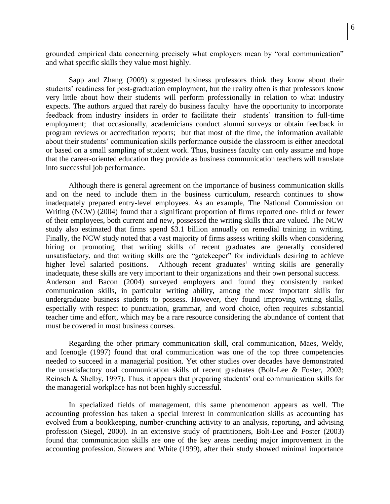grounded empirical data concerning precisely what employers mean by "oral communication" and what specific skills they value most highly.

Sapp and Zhang (2009) suggested business professors think they know about their students' readiness for post-graduation employment, but the reality often is that professors know very little about how their students will perform professionally in relation to what industry expects. The authors argued that rarely do business faculty have the opportunity to incorporate feedback from industry insiders in order to facilitate their students' transition to full-time employment; that occasionally, academicians conduct alumni surveys or obtain feedback in program reviews or accreditation reports; but that most of the time, the information available about their students' communication skills performance outside the classroom is either anecdotal or based on a small sampling of student work. Thus, business faculty can only assume and hope that the career-oriented education they provide as business communication teachers will translate into successful job performance.

Although there is general agreement on the importance of business communication skills and on the need to include them in the business curriculum, research continues to show inadequately prepared entry-level employees. As an example, The National Commission on Writing (NCW) (2004) found that a significant proportion of firms reported one- third or fewer of their employees, both current and new, possessed the writing skills that are valued. The NCW study also estimated that firms spend \$3.1 billion annually on remedial training in writing. Finally, the NCW study noted that a vast majority of firms assess writing skills when considering hiring or promoting, that writing skills of recent graduates are generally considered unsatisfactory, and that writing skills are the "gatekeeper" for individuals desiring to achieve higher level salaried positions. Although recent graduates' writing skills are generally inadequate, these skills are very important to their organizations and their own personal success. Anderson and Bacon (2004) surveyed employers and found they consistently ranked communication skills, in particular writing ability, among the most important skills for undergraduate business students to possess. However, they found improving writing skills, especially with respect to punctuation, grammar, and word choice, often requires substantial teacher time and effort, which may be a rare resource considering the abundance of content that must be covered in most business courses.

Regarding the other primary communication skill, oral communication, Maes, Weldy, and Icenogle (1997) found that oral communication was one of the top three competencies needed to succeed in a managerial position. Yet other studies over decades have demonstrated the unsatisfactory oral communication skills of recent graduates (Bolt-Lee & Foster, 2003; Reinsch & Shelby, 1997). Thus, it appears that preparing students' oral communication skills for the managerial workplace has not been highly successful.

In specialized fields of management, this same phenomenon appears as well. The accounting profession has taken a special interest in communication skills as accounting has evolved from a bookkeeping, number-crunching activity to an analysis, reporting, and advising profession (Siegel, 2000). In an extensive study of practitioners, Bolt-Lee and Foster (2003) found that communication skills are one of the key areas needing major improvement in the accounting profession. Stowers and White (1999), after their study showed minimal importance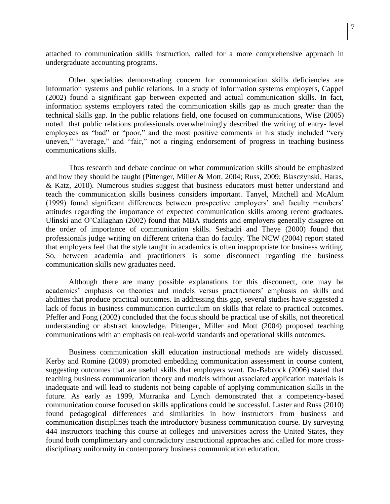attached to communication skills instruction, called for a more comprehensive approach in undergraduate accounting programs.

Other specialties demonstrating concern for communication skills deficiencies are information systems and public relations. In a study of information systems employers, Cappel (2002) found a significant gap between expected and actual communication skills. In fact, information systems employers rated the communication skills gap as much greater than the technical skills gap. In the public relations field, one focused on communications, Wise (2005) noted that public relations professionals overwhelmingly described the writing of entry- level employees as "bad" or "poor," and the most positive comments in his study included "very uneven," "average," and "fair," not a ringing endorsement of progress in teaching business communications skills.

Thus research and debate continue on what communication skills should be emphasized and how they should be taught (Pittenger, Miller & Mott, 2004; Russ, 2009; Blasczynski, Haras, & Katz, 2010). Numerous studies suggest that business educators must better understand and teach the communication skills business considers important. Tanyel, Mitchell and McAlum (1999) found significant differences between prospective employers' and faculty members' attitudes regarding the importance of expected communication skills among recent graduates. Ulinski and O'Callaghan (2002) found that MBA students and employers generally disagree on the order of importance of communication skills. Seshadri and Theye (2000) found that professionals judge writing on different criteria than do faculty. The NCW (2004) report stated that employers feel that the style taught in academics is often inappropriate for business writing. So, between academia and practitioners is some disconnect regarding the business communication skills new graduates need.

Although there are many possible explanations for this disconnect, one may be academics' emphasis on theories and models versus practitioners' emphasis on skills and abilities that produce practical outcomes. In addressing this gap, several studies have suggested a lack of focus in business communication curriculum on skills that relate to practical outcomes. Pfeffer and Fong (2002) concluded that the focus should be practical use of skills, not theoretical understanding or abstract knowledge. Pittenger, Miller and Mott (2004) proposed teaching communications with an emphasis on real-world standards and operational skills outcomes.

Business communication skill education instructional methods are widely discussed. Kerby and Romine (2009) promoted embedding communication assessment in course content, suggesting outcomes that are useful skills that employers want. Du-Babcock (2006) stated that teaching business communication theory and models without associated application materials is inadequate and will lead to students not being capable of applying communication skills in the future. As early as 1999, Murranka and Lynch demonstrated that a competency-based communication course focused on skills applications could be successful. Laster and Russ (2010) found pedagogical differences and similarities in how instructors from business and communication disciplines teach the introductory business communication course. By surveying 444 instructors teaching this course at colleges and universities across the United States, they found both complimentary and contradictory instructional approaches and called for more crossdisciplinary uniformity in contemporary business communication education.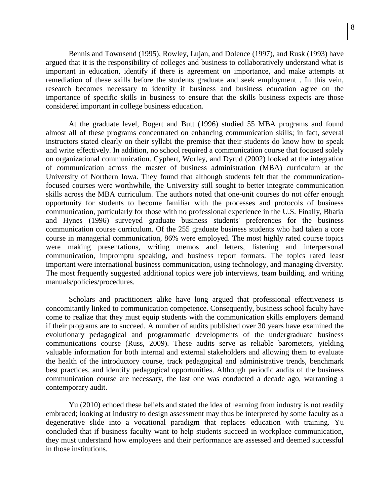Bennis and Townsend (1995), Rowley, Lujan, and Dolence (1997), and Rusk (1993) have argued that it is the responsibility of colleges and business to collaboratively understand what is important in education, identify if there is agreement on importance, and make attempts at remediation of these skills before the students graduate and seek employment . In this vein, research becomes necessary to identify if business and business education agree on the importance of specific skills in business to ensure that the skills business expects are those considered important in college business education.

At the graduate level, Bogert and Butt (1996) studied 55 MBA programs and found almost all of these programs concentrated on enhancing communication skills; in fact, several instructors stated clearly on their syllabi the premise that their students do know how to speak and write effectively. In addition, no school required a communication course that focused solely on organizational communication. Cyphert, Worley, and Dyrud (2002) looked at the integration of communication across the master of business administration (MBA) curriculum at the University of Northern Iowa. They found that although students felt that the communicationfocused courses were worthwhile, the University still sought to better integrate communication skills across the MBA curriculum. The authors noted that one-unit courses do not offer enough opportunity for students to become familiar with the processes and protocols of business communication, particularly for those with no professional experience in the U.S. Finally, Bhatia and Hynes (1996) surveyed graduate business students' preferences for the business communication course curriculum. Of the 255 graduate business students who had taken a core course in managerial communication, 86% were employed. The most highly rated course topics were making presentations, writing memos and letters, listening and interpersonal communication, impromptu speaking, and business report formats. The topics rated least important were international business communication, using technology, and managing diversity. The most frequently suggested additional topics were job interviews, team building, and writing manuals/policies/procedures.

Scholars and practitioners alike have long argued that professional effectiveness is concomitantly linked to communication competence. Consequently, business school faculty have come to realize that they must equip students with the communication skills employers demand if their programs are to succeed. A number of audits published over 30 years have examined the evolutionary pedagogical and programmatic developments of the undergraduate business communications course (Russ, 2009). These audits serve as reliable barometers, yielding valuable information for both internal and external stakeholders and allowing them to evaluate the health of the introductory course, track pedagogical and administrative trends, benchmark best practices, and identify pedagogical opportunities. Although periodic audits of the business communication course are necessary, the last one was conducted a decade ago, warranting a contemporary audit.

Yu (2010) echoed these beliefs and stated the idea of learning from industry is not readily embraced; looking at industry to design assessment may thus be interpreted by some faculty as a degenerative slide into a vocational paradigm that replaces education with training. Yu concluded that if business faculty want to help students succeed in workplace communication, they must understand how employees and their performance are assessed and deemed successful in those institutions.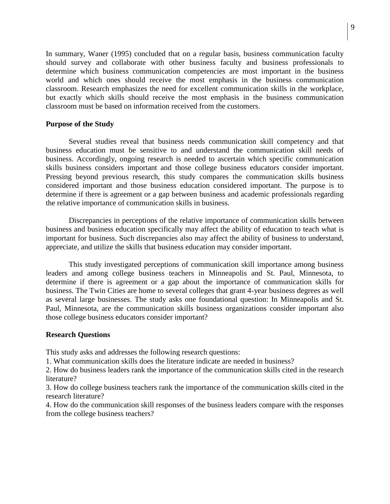In summary, Waner (1995) concluded that on a regular basis, business communication faculty should survey and collaborate with other business faculty and business professionals to determine which business communication competencies are most important in the business world and which ones should receive the most emphasis in the business communication classroom. Research emphasizes the need for excellent communication skills in the workplace, but exactly which skills should receive the most emphasis in the business communication classroom must be based on information received from the customers.

#### **Purpose of the Study**

Several studies reveal that business needs communication skill competency and that business education must be sensitive to and understand the communication skill needs of business. Accordingly, ongoing research is needed to ascertain which specific communication skills business considers important and those college business educators consider important. Pressing beyond previous research, this study compares the communication skills business considered important and those business education considered important. The purpose is to determine if there is agreement or a gap between business and academic professionals regarding the relative importance of communication skills in business.

Discrepancies in perceptions of the relative importance of communication skills between business and business education specifically may affect the ability of education to teach what is important for business. Such discrepancies also may affect the ability of business to understand, appreciate, and utilize the skills that business education may consider important.

This study investigated perceptions of communication skill importance among business leaders and among college business teachers in Minneapolis and St. Paul, Minnesota, to determine if there is agreement or a gap about the importance of communication skills for business. The Twin Cities are home to several colleges that grant 4-year business degrees as well as several large businesses. The study asks one foundational question: In Minneapolis and St. Paul, Minnesota, are the communication skills business organizations consider important also those college business educators consider important?

#### **Research Questions**

This study asks and addresses the following research questions:

1. What communication skills does the literature indicate are needed in business?

2. How do business leaders rank the importance of the communication skills cited in the research literature?

3. How do college business teachers rank the importance of the communication skills cited in the research literature?

4. How do the communication skill responses of the business leaders compare with the responses from the college business teachers?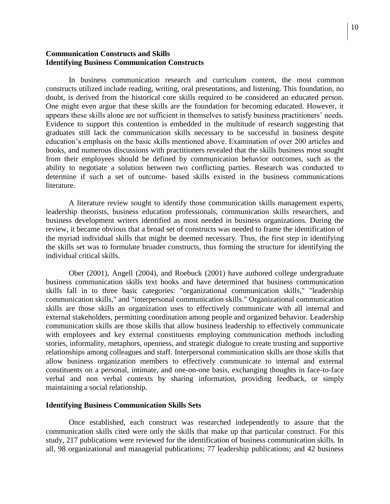### **Communication Constructs and Skills Identifying Business Communication Constructs**

In business communication research and curriculum content, the most common constructs utilized include reading, writing, oral presentations, and listening. This foundation, no doubt, is derived from the historical core skills required to be considered an educated person. One might even argue that these skills are the foundation for becoming educated. However, it appears these skills alone are not sufficient in themselves to satisfy business practitioners' needs. Evidence to support this contention is embedded in the multitude of research suggesting that graduates still lack the communication skills necessary to be successful in business despite education's emphasis on the basic skills mentioned above. Examination of over 200 articles and books, and numerous discussions with practitioners revealed that the skills business most sought from their employees should be defined by communication behavior outcomes, such as the ability to negotiate a solution between two conflicting parties. Research was conducted to determine if such a set of outcome- based skills existed in the business communications literature.

A literature review sought to identify those communication skills management experts, leadership theorists, business education professionals, communication skills researchers, and business development writers identified as most needed in business organizations. During the review, it became obvious that a broad set of constructs was needed to frame the identification of the myriad individual skills that might be deemed necessary. Thus, the first step in identifying the skills set was to formulate broader constructs, thus forming the structure for identifying the individual critical skills.

Ober (2001), Angell (2004), and Roebuck (2001) have authored college undergraduate business communication skills text books and have determined that business communication skills fall in to three basic categories: "organizational communication skills," "leadership communication skills," and "interpersonal communication skills." Organizational communication skills are those skills an organization uses to effectively communicate with all internal and external stakeholders, permitting coordination among people and organized behavior. Leadership communication skills are those skills that allow business leadership to effectively communicate with employees and key external constituents employing communication methods including stories, informality, metaphors, openness, and strategic dialogue to create trusting and supportive relationships among colleagues and staff. Interpersonal communication skills are those skills that allow business organization members to effectively communicate to internal and external constituents on a personal, intimate, and one-on-one basis, exchanging thoughts in face-to-face verbal and non verbal contexts by sharing information, providing feedback, or simply maintaining a social relationship.

#### **Identifying Business Communication Skills Sets**

Once established, each construct was researched independently to assure that the communication skills cited were only the skills that make up that particular construct. For this study, 217 publications were reviewed for the identification of business communication skills. In all, 98 organizational and managerial publications; 77 leadership publications; and 42 business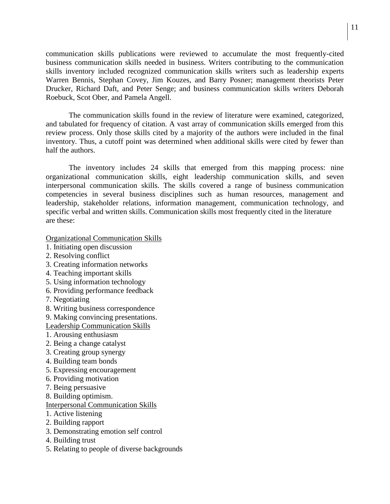communication skills publications were reviewed to accumulate the most frequently-cited business communication skills needed in business. Writers contributing to the communication skills inventory included recognized communication skills writers such as leadership experts Warren Bennis, Stephan Covey, Jim Kouzes, and Barry Posner; management theorists Peter Drucker, Richard Daft, and Peter Senge; and business communication skills writers Deborah Roebuck, Scot Ober, and Pamela Angell.

The communication skills found in the review of literature were examined, categorized, and tabulated for frequency of citation. A vast array of communication skills emerged from this review process. Only those skills cited by a majority of the authors were included in the final inventory. Thus, a cutoff point was determined when additional skills were cited by fewer than half the authors.

The inventory includes 24 skills that emerged from this mapping process: nine organizational communication skills, eight leadership communication skills, and seven interpersonal communication skills. The skills covered a range of business communication competencies in several business disciplines such as human resources, management and leadership, stakeholder relations, information management, communication technology, and specific verbal and written skills. Communication skills most frequently cited in the literature are these:

Organizational Communication Skills

- 1. Initiating open discussion
- 2. Resolving conflict
- 3. Creating information networks
- 4. Teaching important skills
- 5. Using information technology
- 6. Providing performance feedback
- 7. Negotiating
- 8. Writing business correspondence
- 9. Making convincing presentations.

Leadership Communication Skills

- 1. Arousing enthusiasm
- 2. Being a change catalyst
- 3. Creating group synergy
- 4. Building team bonds
- 5. Expressing encouragement
- 6. Providing motivation
- 7. Being persuasive
- 8. Building optimism.

## Interpersonal Communication Skills

- 1. Active listening
- 2. Building rapport
- 3. Demonstrating emotion self control
- 4. Building trust
- 5. Relating to people of diverse backgrounds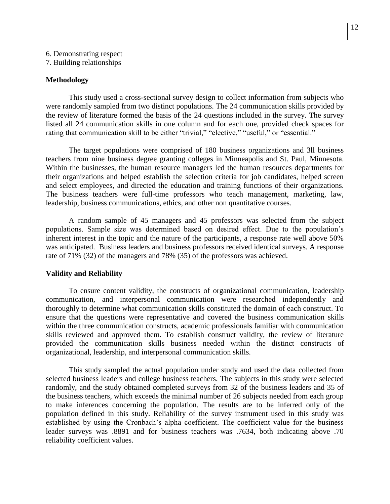6. Demonstrating respect

7. Building relationships

## **Methodology**

This study used a cross-sectional survey design to collect information from subjects who were randomly sampled from two distinct populations. The 24 communication skills provided by the review of literature formed the basis of the 24 questions included in the survey. The survey listed all 24 communication skills in one column and for each one, provided check spaces for rating that communication skill to be either "trivial," "elective," "useful," or "essential."

The target populations were comprised of 180 business organizations and 3ll business teachers from nine business degree granting colleges in Minneapolis and St. Paul, Minnesota. Within the businesses, the human resource managers led the human resources departments for their organizations and helped establish the selection criteria for job candidates, helped screen and select employees, and directed the education and training functions of their organizations. The business teachers were full-time professors who teach management, marketing, law, leadership, business communications, ethics, and other non quantitative courses.

A random sample of 45 managers and 45 professors was selected from the subject populations. Sample size was determined based on desired effect. Due to the population's inherent interest in the topic and the nature of the participants, a response rate well above 50% was anticipated. Business leaders and business professors received identical surveys. A response rate of 71% (32) of the managers and 78% (35) of the professors was achieved.

# **Validity and Reliability**

To ensure content validity, the constructs of organizational communication, leadership communication, and interpersonal communication were researched independently and thoroughly to determine what communication skills constituted the domain of each construct. To ensure that the questions were representative and covered the business communication skills within the three communication constructs, academic professionals familiar with communication skills reviewed and approved them. To establish construct validity, the review of literature provided the communication skills business needed within the distinct constructs of organizational, leadership, and interpersonal communication skills.

This study sampled the actual population under study and used the data collected from selected business leaders and college business teachers. The subjects in this study were selected randomly, and the study obtained completed surveys from 32 of the business leaders and 35 of the business teachers, which exceeds the minimal number of 26 subjects needed from each group to make inferences concerning the population. The results are to be inferred only of the population defined in this study. Reliability of the survey instrument used in this study was established by using the Cronbach's alpha coefficient. The coefficient value for the business leader surveys was .8891 and for business teachers was .7634, both indicating above .70 reliability coefficient values.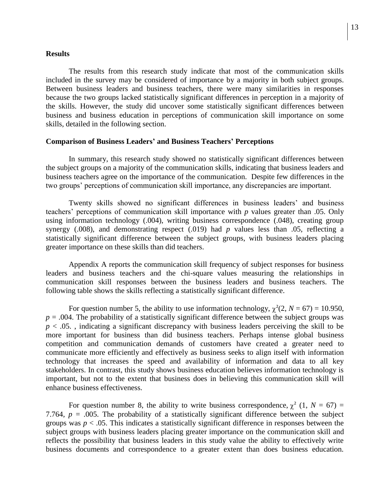#### **Results**

The results from this research study indicate that most of the communication skills included in the survey may be considered of importance by a majority in both subject groups. Between business leaders and business teachers, there were many similarities in responses because the two groups lacked statistically significant differences in perception in a majority of the skills. However, the study did uncover some statistically significant differences between business and business education in perceptions of communication skill importance on some skills, detailed in the following section.

#### **Comparison of Business Leaders' and Business Teachers' Perceptions**

In summary, this research study showed no statistically significant differences between the subject groups on a majority of the communication skills, indicating that business leaders and business teachers agree on the importance of the communication. Despite few differences in the two groups' perceptions of communication skill importance, any discrepancies are important.

Twenty skills showed no significant differences in business leaders' and business teachers' perceptions of communication skill importance with *p* values greater than .05. Only using information technology (.004), writing business correspondence (.048), creating group synergy (.008), and demonstrating respect (.019) had *p* values less than .05, reflecting a statistically significant difference between the subject groups, with business leaders placing greater importance on these skills than did teachers.

Appendix A reports the communication skill frequency of subject responses for business leaders and business teachers and the chi-square values measuring the relationships in communication skill responses between the business leaders and business teachers. The following table shows the skills reflecting a statistically significant difference.

For question number 5, the ability to use information technology,  $\chi^2(2, N = 67) = 10.950$ ,  $p = .004$ . The probability of a statistically significant difference between the subject groups was  $p < .05$ ., indicating a significant discrepancy with business leaders perceiving the skill to be more important for business than did business teachers. Perhaps intense global business competition and communication demands of customers have created a greater need to communicate more efficiently and effectively as business seeks to align itself with information technology that increases the speed and availability of information and data to all key stakeholders. In contrast, this study shows business education believes information technology is important, but not to the extent that business does in believing this communication skill will enhance business effectiveness.

For question number 8, the ability to write business correspondence,  $\chi^2$  (1,  $N = 67$ ) = 7.764,  $p = 0.005$ . The probability of a statistically significant difference between the subject groups was  $p < .05$ . This indicates a statistically significant difference in responses between the subject groups with business leaders placing greater importance on the communication skill and reflects the possibility that business leaders in this study value the ability to effectively write business documents and correspondence to a greater extent than does business education.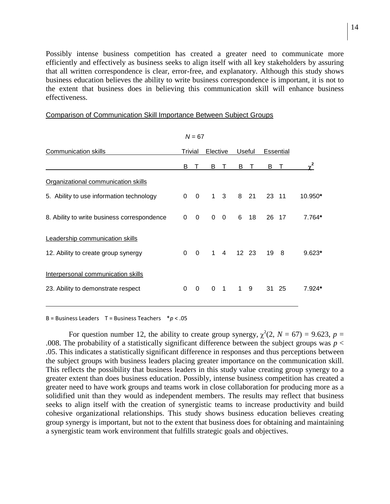Possibly intense business competition has created a greater need to communicate more efficiently and effectively as business seeks to align itself with all key stakeholders by assuring that all written correspondence is clear, error-free, and explanatory. Although this study shows business education believes the ability to write business correspondence is important, it is not to the extent that business does in believing this communication skill will enhance business effectiveness.

| $N = 67$                                                                 |             |          |              |                |        |    |           |                |          |
|--------------------------------------------------------------------------|-------------|----------|--------------|----------------|--------|----|-----------|----------------|----------|
| Communication skills                                                     | Trivial     |          | Elective     |                | Useful |    | Essential |                |          |
|                                                                          | B           |          | B            |                | B      |    | B         |                | $v^2$    |
| Organizational communication skills                                      |             |          |              |                |        |    |           |                |          |
| 5. Ability to use information technology                                 | $\Omega$    | $\Omega$ | $\mathbf 1$  | 3              | 8      | 21 | 23        | 11             | 10.950*  |
| 8. Ability to write business correspondence                              | $\Omega$    | $\Omega$ | $\Omega$     | $\mathbf{0}$   | 6      | 18 | 26        | -17            | 7.764*   |
| Leadership communication skills<br>12. Ability to create group synergy   | $\mathbf 0$ | $\Omega$ | $\mathbf{1}$ | $\overline{4}$ | 12 23  |    | 19        | 8 <sup>8</sup> | $9.623*$ |
| Interpersonal communication skills<br>23. Ability to demonstrate respect | 0           | $\Omega$ | $\Omega$     | $\overline{1}$ | 1      | 9  |           | 31 25          | $7.924*$ |

#### Comparison of Communication Skill Importance Between Subject Groups

B = Business Leaders T = Business Teachers \**p* < .05

For question number 12, the ability to create group synergy,  $\chi^2(2, N = 67) = 9.623$ ,  $p =$ .008. The probability of a statistically significant difference between the subject groups was  $p <$ .05. This indicates a statistically significant difference in responses and thus perceptions between the subject groups with business leaders placing greater importance on the communication skill. This reflects the possibility that business leaders in this study value creating group synergy to a greater extent than does business education. Possibly, intense business competition has created a greater need to have work groups and teams work in close collaboration for producing more as a solidified unit than they would as independent members. The results may reflect that business seeks to align itself with the creation of synergistic teams to increase productivity and build cohesive organizational relationships. This study shows business education believes creating group synergy is important, but not to the extent that business does for obtaining and maintaining a synergistic team work environment that fulfills strategic goals and objectives.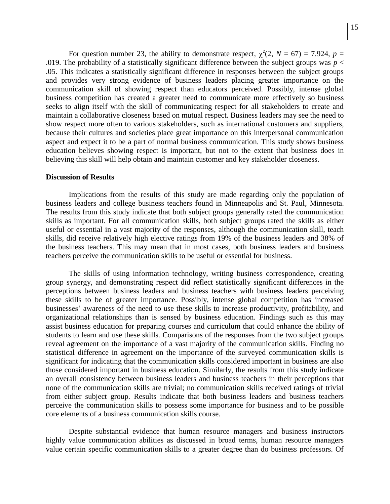For question number 23, the ability to demonstrate respect,  $\chi^2(2, N = 67) = 7.924$ ,  $p =$ .019. The probability of a statistically significant difference between the subject groups was  $p <$ .05. This indicates a statistically significant difference in responses between the subject groups and provides very strong evidence of business leaders placing greater importance on the communication skill of showing respect than educators perceived. Possibly, intense global business competition has created a greater need to communicate more effectively so business seeks to align itself with the skill of communicating respect for all stakeholders to create and maintain a collaborative closeness based on mutual respect. Business leaders may see the need to show respect more often to various stakeholders, such as international customers and suppliers, because their cultures and societies place great importance on this interpersonal communication aspect and expect it to be a part of normal business communication. This study shows business education believes showing respect is important, but not to the extent that business does in believing this skill will help obtain and maintain customer and key stakeholder closeness.

#### **Discussion of Results**

Implications from the results of this study are made regarding only the population of business leaders and college business teachers found in Minneapolis and St. Paul, Minnesota. The results from this study indicate that both subject groups generally rated the communication skills as important. For all communication skills, both subject groups rated the skills as either useful or essential in a vast majority of the responses, although the communication skill, teach skills, did receive relatively high elective ratings from 19% of the business leaders and 38% of the business teachers. This may mean that in most cases, both business leaders and business teachers perceive the communication skills to be useful or essential for business.

The skills of using information technology, writing business correspondence, creating group synergy, and demonstrating respect did reflect statistically significant differences in the perceptions between business leaders and business teachers with business leaders perceiving these skills to be of greater importance. Possibly, intense global competition has increased businesses' awareness of the need to use these skills to increase productivity, profitability, and organizational relationships than is sensed by business education. Findings such as this may assist business education for preparing courses and curriculum that could enhance the ability of students to learn and use these skills. Comparisons of the responses from the two subject groups reveal agreement on the importance of a vast majority of the communication skills. Finding no statistical difference in agreement on the importance of the surveyed communication skills is significant for indicating that the communication skills considered important in business are also those considered important in business education. Similarly, the results from this study indicate an overall consistency between business leaders and business teachers in their perceptions that none of the communication skills are trivial; no communication skills received ratings of trivial from either subject group. Results indicate that both business leaders and business teachers perceive the communication skills to possess some importance for business and to be possible core elements of a business communication skills course.

Despite substantial evidence that human resource managers and business instructors highly value communication abilities as discussed in broad terms, human resource managers value certain specific communication skills to a greater degree than do business professors. Of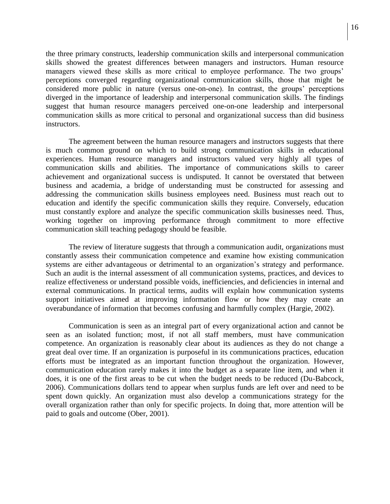the three primary constructs, leadership communication skills and interpersonal communication skills showed the greatest differences between managers and instructors. Human resource managers viewed these skills as more critical to employee performance. The two groups' perceptions converged regarding organizational communication skills, those that might be considered more public in nature (versus one-on-one). In contrast, the groups' perceptions diverged in the importance of leadership and interpersonal communication skills. The findings suggest that human resource managers perceived one-on-one leadership and interpersonal communication skills as more critical to personal and organizational success than did business instructors.

The agreement between the human resource managers and instructors suggests that there is much common ground on which to build strong communication skills in educational experiences. Human resource managers and instructors valued very highly all types of communication skills and abilities. The importance of communications skills to career achievement and organizational success is undisputed. It cannot be overstated that between business and academia, a bridge of understanding must be constructed for assessing and addressing the communication skills business employees need. Business must reach out to education and identify the specific communication skills they require. Conversely, education must constantly explore and analyze the specific communication skills businesses need. Thus, working together on improving performance through commitment to more effective communication skill teaching pedagogy should be feasible.

The review of literature suggests that through a communication audit, organizations must constantly assess their communication competence and examine how existing communication systems are either advantageous or detrimental to an organization's strategy and performance. Such an audit is the internal assessment of all communication systems, practices, and devices to realize effectiveness or understand possible voids, inefficiencies, and deficiencies in internal and external communications. In practical terms, audits will explain how communication systems support initiatives aimed at improving information flow or how they may create an overabundance of information that becomes confusing and harmfully complex (Hargie, 2002).

Communication is seen as an integral part of every organizational action and cannot be seen as an isolated function; most, if not all staff members, must have communication competence. An organization is reasonably clear about its audiences as they do not change a great deal over time. If an organization is purposeful in its communications practices, education efforts must be integrated as an important function throughout the organization. However, communication education rarely makes it into the budget as a separate line item, and when it does, it is one of the first areas to be cut when the budget needs to be reduced (Du-Babcock, 2006). Communications dollars tend to appear when surplus funds are left over and need to be spent down quickly. An organization must also develop a communications strategy for the overall organization rather than only for specific projects. In doing that, more attention will be paid to goals and outcome (Ober, 2001).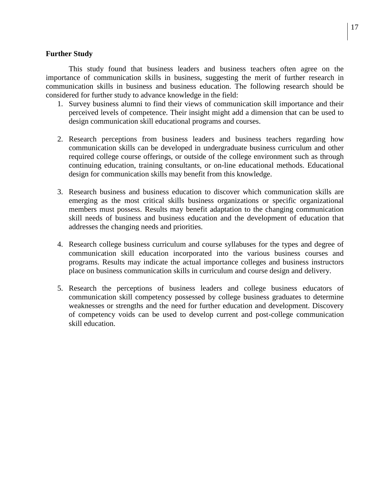## **Further Study**

This study found that business leaders and business teachers often agree on the importance of communication skills in business, suggesting the merit of further research in communication skills in business and business education. The following research should be considered for further study to advance knowledge in the field:

- 1. Survey business alumni to find their views of communication skill importance and their perceived levels of competence. Their insight might add a dimension that can be used to design communication skill educational programs and courses.
- 2. Research perceptions from business leaders and business teachers regarding how communication skills can be developed in undergraduate business curriculum and other required college course offerings, or outside of the college environment such as through continuing education, training consultants, or on-line educational methods. Educational design for communication skills may benefit from this knowledge.
- 3. Research business and business education to discover which communication skills are emerging as the most critical skills business organizations or specific organizational members must possess. Results may benefit adaptation to the changing communication skill needs of business and business education and the development of education that addresses the changing needs and priorities.
- 4. Research college business curriculum and course syllabuses for the types and degree of communication skill education incorporated into the various business courses and programs. Results may indicate the actual importance colleges and business instructors place on business communication skills in curriculum and course design and delivery.
- 5. Research the perceptions of business leaders and college business educators of communication skill competency possessed by college business graduates to determine weaknesses or strengths and the need for further education and development. Discovery of competency voids can be used to develop current and post-college communication skill education.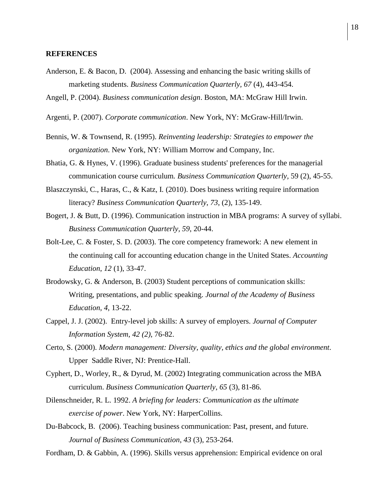#### **REFERENCES**

- Anderson, E. & Bacon, D. (2004). Assessing and enhancing the basic writing skills of marketing students. *Business Communication Quarterly, 67* (4), 443-454.
- Angell, P. (2004). *Business communication design*. Boston, MA: McGraw Hill Irwin.
- Argenti, P. (2007). *Corporate communication*. New York, NY: McGraw-Hill/Irwin.
- Bennis, W. & Townsend, R. (1995). *Reinventing leadership: Strategies to empower the organization*. New York, NY: William Morrow and Company, Inc.
- Bhatia, G. & Hynes, V. (1996). Graduate business students' preferences for the managerial communication course curriculum*. [Business Communication Quarterly,](javascript:__doLinkPostBack()* 59 (2), 45-55.
- Blaszczynski, C., Haras, C., & Katz, I*.* (2010). Does business writing require information literacy? *Business Communication Quarterly*, *73*, (2), 135-149.
- Bogert, J. & Butt, D. (1996). Communication instruction in MBA programs: A survey of syllabi. *Business Communication Quarterly, 59*, 20-44.
- Bolt-Lee, C. & Foster, S. D. (2003). The core competency framework: A new element in the continuing call for accounting education change in the United States. *Accounting Education*, *12* (1), 33-47.
- Brodowsky, G. & Anderson, B. (2003) Student perceptions of communication skills: Writing, presentations, and public speaking. *Journal of the Academy of Business Education*, *4*, 13-22.
- Cappel, J. J. (2002). Entry-level job skills: A survey of employers. *Journal of Computer Information System*, *42 (2)*, 76-82.
- Certo, S. (2000). *Modern management: Diversity, quality, ethics and the global environment*. Upper Saddle River, NJ: Prentice-Hall.
- Cyphert, D., Worley, R., & Dyrud, M. (2002) Integrating communication across the MBA curriculum. *Business Communication Quarterly*, *65* (3), 81-86.
- Dilenschneider, R. L. 1992. *A briefing for leaders: Communication as the ultimate exercise of power*. New York, NY: HarperCollins.
- Du-Babcock, B. (2006). Teaching business communication: Past, present, and future. *Journal of Business Communication*, *43* (3), 253-264.
- Fordham, D. & Gabbin, A. (1996). Skills versus apprehension: Empirical evidence on oral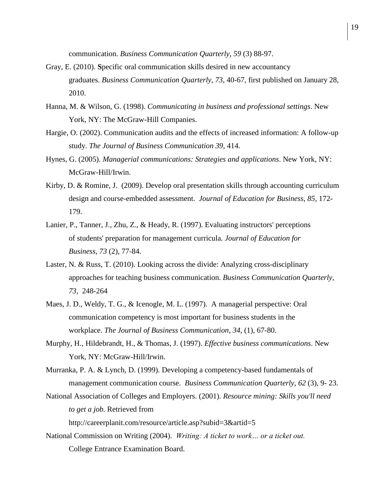communication. *Business Communication Quarterly, 59* (3) 88-97.

- [Gray,](http://bcq.sagepub.com/search?author1=F.+Elizabeth+Gray&sortspec=date&submit=Submit) E. (2010). **S**pecific oral communication skills desired in new accountancy graduates. *Business Communication Quarterly, 73,* 40-67, first published on January 28, 2010.
- Hanna, M. & Wilson, G. (1998). *Communicating in business and professional settings*. New York, NY: The McGraw-Hill Companies.
- Hargie, O. (2002). Communication audits and the effects of increased information: A follow-up study. *The Journal of Business Communication 39,* 414.
- Hynes, G. (2005). *Managerial communications: Strategies and applications*. New York, NY: McGraw-Hill/Irwin.
- Kirby, D. & Romine, J. (2009). Develop oral presentation skills through accounting curriculum design and course-embedded assessment. *Journal of Education for Business*, *85*, 172- 179.
- Lanier, P., Tanner, J., Zhu, Z., & Heady, R. (1997). Evaluating instructors' perceptions of students' preparation for management curricula*. Journal of Education for Business*, *73* (2), 77-84.
- Laster, N. & Russ, T. (2010). Looking across the divide: Analyzing cross-disciplinary approaches for teaching business communication. *Business Communication Quarterly, 73,* 248-264
- Maes, J. D., Weldy, T. G., & Icenogle, M. L. (1997). A managerial perspective: Oral communication competency is most important for business students in the workplace. *The Journal of Business Communication*, *34*, (1), 67-80.
- Murphy, H., Hildebrandt, H., & Thomas, J. (1997). *Effective business communications*. New York, NY: McGraw-Hill/Irwin.
- Murranka, P. A. & Lynch, D. (1999). Developing a competency-based fundamentals of management communication course. *Business Communication Quarterly*, *62* (3), 9- 23.
- National Association of Colleges and Employers. (2001). *Resource mining: Skills you'll need to get a job.* Retrieved from

http://careerplanit.com/resource/article.asp?subid=3&artid=5

National Commission on Writing (2004). *Writing: A ticket to work… or a ticket out.* College Entrance Examination Board.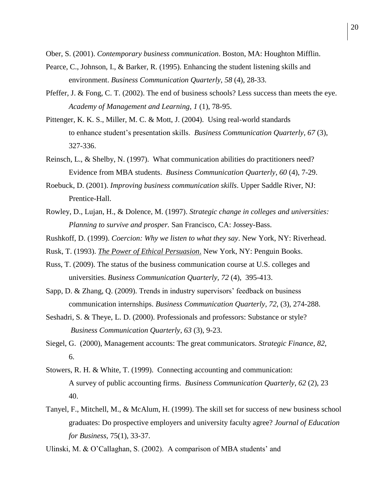Ober, S. (2001). *Contemporary business communication*. Boston, MA: Houghton Mifflin.

- Pearce, C., Johnson, I., & Barker, R. (1995). Enhancing the student listening skills and environment. *Business Communication Quarterly*, *58* (4), 28-33.
- Pfeffer, J. & Fong, C. T. (2002). The end of business schools? Less success than meets the eye. *Academy of Management and Learning*, *1* (1), 78-95.
- Pittenger, K. K. S., Miller, M. C. & Mott, J. (2004). Using real-world standards to enhance student's presentation skills. *Business Communication Quarterly*, *67* (3), 327-336.
- Reinsch, L., & Shelby, N. (1997). What communication abilities do practitioners need? Evidence from MBA students. *Business Communication Quarterly*, *60* (4), 7-29.
- Roebuck, D. (2001). *Improving business communication skills*. Upper Saddle River, NJ: Prentice-Hall.
- Rowley, D., Lujan, H., & Dolence, M. (1997). *Strategic change in colleges and universities: Planning to survive and prosper.* San Francisco, CA: Jossey-Bass.
- Rushkoff, D. (1999). *Coercion: Why we listen to what they say*. New York, NY: Riverhead.
- Rusk, T. (1993). *The Power of Ethical Persuasion*. New York, NY: Penguin Books.
- Russ, T. (2009). The status of the business communication course at U.S. colleges and universities. *Business Communication Quarterly, 72* (4), 395-413.
- Sapp, D. & Zhang, Q. (2009). Trends in industry supervisors' feedback on business communication internships. *Business Communication Quarterly*, *72*, (3), 274-288.
- Seshadri, S. & Theye, L. D. (2000). Professionals and professors: Substance or style? *Business Communication Quarterly*, *63* (3), 9-23.
- Siegel, G. (2000), Management accounts: The great communicators. *Strategic Finance*, *82*, 6.
- Stowers, R. H. & White, T. (1999). Connecting accounting and communication: A survey of public accounting firms. *Business Communication Quarterly*, *62* (2), 23 40.
- Tanyel, F., Mitchell, M., & McAlum, H. (1999). The skill set for success of new business school graduates: Do prospective employers and university faculty agree? *Journal of Education for Business,* 75(1), 33-37.

Ulinski, M. & O'Callaghan, S. (2002). A comparison of MBA students' and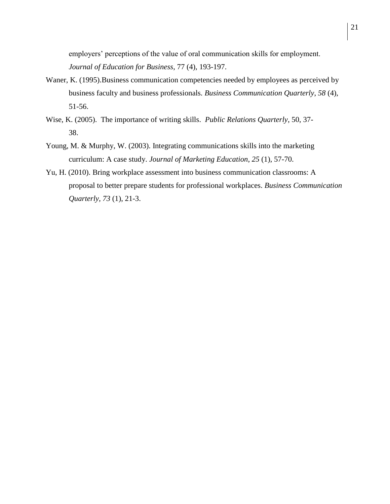employers' perceptions of the value of oral communication skills for employment. *Journal of Education for Business*, 77 (4), 193-197.

- Waner, K. (1995).Business communication competencies needed by employees as perceived by business faculty and business professionals. *Business Communication Quarterly*, *58* (4), 51-56.
- Wise, K. (2005). The importance of writing skills. *Public Relations Quarterly*, 50, 37- 38.
- Young, M. & Murphy, W. (2003). Integrating communications skills into the marketing curriculum: A case study. *Journal of Marketing Education*, *25* (1), 57-70.
- Yu, H. (2010). Bring workplace assessment into business communication classrooms: A proposal to better prepare students for professional workplaces. *Business Communication Quarterly, 73* (1), 21-3.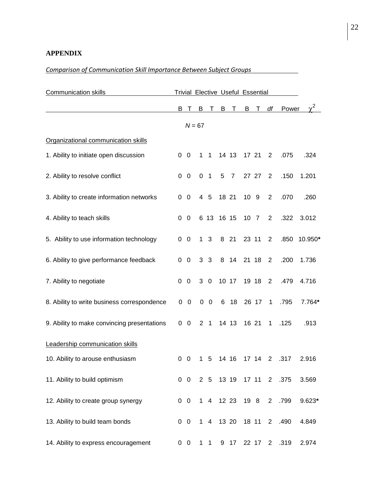# **APPENDIX**

# *Comparison of Communication Skill Importance Between Subject Groups*

| <b>Communication skills</b>                 | Trivial Elective Useful Essential |                |          |                |            |                |                |       |                |                        |         |
|---------------------------------------------|-----------------------------------|----------------|----------|----------------|------------|----------------|----------------|-------|----------------|------------------------|---------|
|                                             |                                   | вт             |          |                |            |                | B T B T B T df |       |                | Power                  |         |
|                                             |                                   |                | $N = 67$ |                |            |                |                |       |                |                        |         |
| Organizational communication skills         |                                   |                |          |                |            |                |                |       |                |                        |         |
| 1. Ability to initiate open discussion      |                                   | $0\quad 0$     |          | $1 \quad 1$    |            | 14 13          |                | 17 21 | 2              | .075                   | .324    |
| 2. Ability to resolve conflict              |                                   | $0\quad 0$     | 0        | $\overline{1}$ | 5          | $\overline{7}$ |                | 27 27 | $\overline{2}$ | .150                   | 1.201   |
| 3. Ability to create information networks   |                                   | $0\quad 0$     |          | 4 5            |            | 18 21          | 10 9           |       | 2              | .070                   | .260    |
| 4. Ability to teach skills                  | $\Omega$                          | $\overline{0}$ |          |                | 6 13 16 15 |                | 10 7           |       | 2              | .322                   | 3.012   |
| 5. Ability to use information technology    |                                   | $0\quad 0$     |          | 1 <sub>3</sub> |            | 8 21           |                | 23 11 | $\overline{2}$ | .850                   | 10.950* |
| 6. Ability to give performance feedback     | $\Omega$                          | 0              |          | 3 <sub>3</sub> |            | 8 14           |                | 21 18 | $\overline{2}$ | .200                   | 1.736   |
| 7. Ability to negotiate                     | 0                                 | $\mathbf 0$    |          | $3\quad0$      |            | 10 17          |                | 19 18 | 2              | .479                   | 4.716   |
| 8. Ability to write business correspondence |                                   | $0\quad 0$     |          | $0\quad 0$     |            | 6 18           |                | 26 17 | $\mathbf 1$    | .795                   | 7.764*  |
| 9. Ability to make convincing presentations |                                   | $0\quad 0$     |          | 2 <sub>1</sub> |            | 14 13          |                | 16 21 | $\mathbf{1}$   | .125                   | .913    |
| Leadership communication skills             |                                   |                |          |                |            |                |                |       |                |                        |         |
| 10. Ability to arouse enthusiasm            | 0                                 | - 0            | 1        | 5              |            | 14 16          |                | 17 14 | 2              | .317                   | 2.916   |
| 11. Ability to build optimism               |                                   | $0\quad 0$     |          |                |            |                |                |       |                | 2 5 13 19 17 11 2 .375 | 3.569   |
| 12. Ability to create group synergy         |                                   | $0\quad 0$     |          |                |            |                | 1 4 12 23 19 8 |       | $2^{\circ}$    | .799                   | 9.623*  |
| 13. Ability to build team bonds             |                                   | $0\quad 0$     |          |                |            | 1 4 13 20      |                | 18 11 | $2^{\circ}$    | .490                   | 4.849   |
| 14. Ability to express encouragement        |                                   | $0\quad 0$     |          | $1\quad1$      |            | 9 17           |                | 22 17 |                | 2 .319                 | 2.974   |